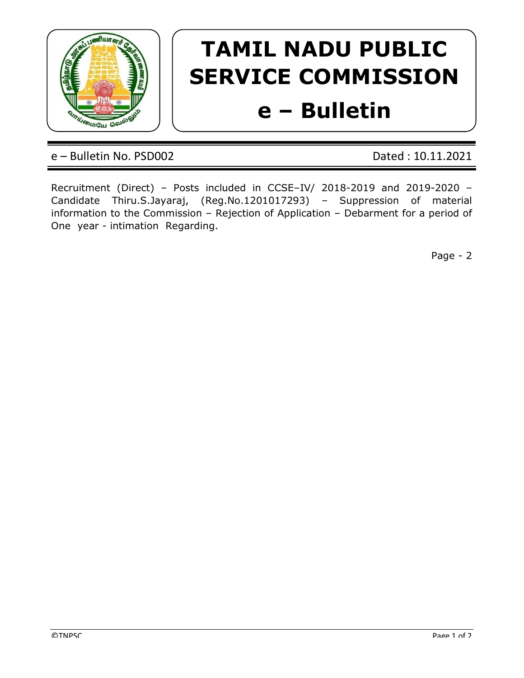

## TAMIL NADU PUBLIC SERVICE COMMISSION

## e – Bulletin

e – Bulletin No. PSD002 Dated : 10.11.2021

Recruitment (Direct) – Posts included in CCSE–IV/ 2018-2019 and 2019-2020 – Candidate Thiru.S.Jayaraj, (Reg.No.1201017293) – Suppression of material information to the Commission – Rejection of Application – Debarment for a period of One year - intimation Regarding.

Page - 2